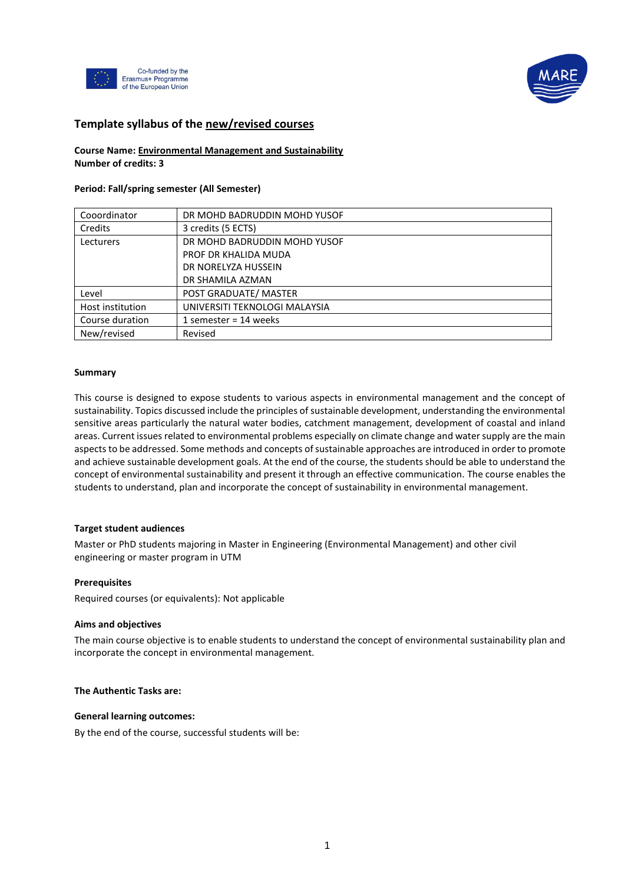



# **Template syllabus of the new/revised courses**

## **Course Name: Environmental Management and Sustainability Number of credits: 3**

## **Period: Fall/spring semester (All Semester)**

| Cooordinator     | DR MOHD BADRUDDIN MOHD YUSOF  |
|------------------|-------------------------------|
| Credits          | 3 credits (5 ECTS)            |
| Lecturers        | DR MOHD BADRUDDIN MOHD YUSOF  |
|                  | PROF DR KHALIDA MUDA          |
|                  | DR NORELYZA HUSSEIN           |
|                  | DR SHAMILA AZMAN              |
| Level            | POST GRADUATE/ MASTER         |
| Host institution | UNIVERSITI TEKNOLOGI MALAYSIA |
| Course duration  | 1 semester = $14$ weeks       |
| New/revised      | Revised                       |

#### **Summary**

This course is designed to expose students to various aspects in environmental management and the concept of sustainability. Topics discussed include the principles of sustainable development, understanding the environmental sensitive areas particularly the natural water bodies, catchment management, development of coastal and inland areas. Current issues related to environmental problems especially on climate change and water supply are the main aspects to be addressed. Some methods and concepts of sustainable approaches are introduced in order to promote and achieve sustainable development goals. At the end of the course, the students should be able to understand the concept of environmental sustainability and present it through an effective communication. The course enables the students to understand, plan and incorporate the concept of sustainability in environmental management.

#### **Target student audiences**

Master or PhD students majoring in Master in Engineering (Environmental Management) and other civil engineering or master program in UTM

#### **Prerequisites**

Required courses (or equivalents): Not applicable

#### **Aims and objectives**

The main course objective is to enable students to understand the concept of environmental sustainability plan and incorporate the concept in environmental management.

#### **The Authentic Tasks are:**

#### **General learning outcomes:**

By the end of the course, successful students will be: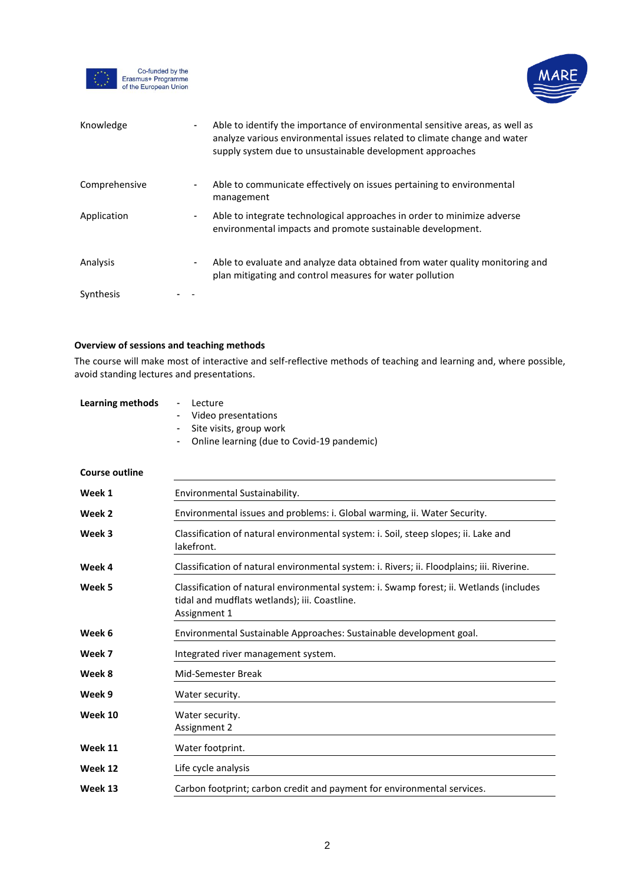

Co-funded by the<br>Erasmus+ Programme<br>of the European Union



| Knowledge     | $\blacksquare$ | Able to identify the importance of environmental sensitive areas, as well as<br>analyze various environmental issues related to climate change and water<br>supply system due to unsustainable development approaches |
|---------------|----------------|-----------------------------------------------------------------------------------------------------------------------------------------------------------------------------------------------------------------------|
| Comprehensive | $\blacksquare$ | Able to communicate effectively on issues pertaining to environmental<br>management                                                                                                                                   |
| Application   |                | Able to integrate technological approaches in order to minimize adverse<br>environmental impacts and promote sustainable development.                                                                                 |
| Analysis      |                | Able to evaluate and analyze data obtained from water quality monitoring and<br>plan mitigating and control measures for water pollution                                                                              |
| Synthesis     |                |                                                                                                                                                                                                                       |

# **Overview of sessions and teaching methods**

The course will make most of interactive and self-reflective methods of teaching and learning and, where possible, avoid standing lectures and presentations.

| Learning methods      | Lecture<br>$\sim$<br>Video presentations<br>$\sim$<br>- Site visits, group work<br>- Online learning (due to Covid-19 pandemic) |
|-----------------------|---------------------------------------------------------------------------------------------------------------------------------|
| <b>Course outline</b> |                                                                                                                                 |
| Week 1                | Environmental Sustainability.                                                                                                   |

| VVCCN 1 | LIIVII OHIHCHLAI JUSLAIHAVIIILY.                                                                                                                         |  |  |  |
|---------|----------------------------------------------------------------------------------------------------------------------------------------------------------|--|--|--|
| Week 2  | Environmental issues and problems: i. Global warming, ii. Water Security.                                                                                |  |  |  |
| Week 3  | Classification of natural environmental system: i. Soil, steep slopes; ii. Lake and<br>lakefront.                                                        |  |  |  |
| Week 4  | Classification of natural environmental system: i. Rivers; ii. Floodplains; iii. Riverine.                                                               |  |  |  |
| Week 5  | Classification of natural environmental system: i. Swamp forest; ii. Wetlands (includes<br>tidal and mudflats wetlands); iii. Coastline.<br>Assignment 1 |  |  |  |
| Week 6  | Environmental Sustainable Approaches: Sustainable development goal.                                                                                      |  |  |  |
| Week 7  | Integrated river management system.                                                                                                                      |  |  |  |
| Week 8  | Mid-Semester Break                                                                                                                                       |  |  |  |
| Week 9  | Water security.                                                                                                                                          |  |  |  |
| Week 10 | Water security.<br>Assignment 2                                                                                                                          |  |  |  |
| Week 11 | Water footprint.                                                                                                                                         |  |  |  |
| Week 12 | Life cycle analysis                                                                                                                                      |  |  |  |
| Week 13 | Carbon footprint; carbon credit and payment for environmental services.                                                                                  |  |  |  |
|         |                                                                                                                                                          |  |  |  |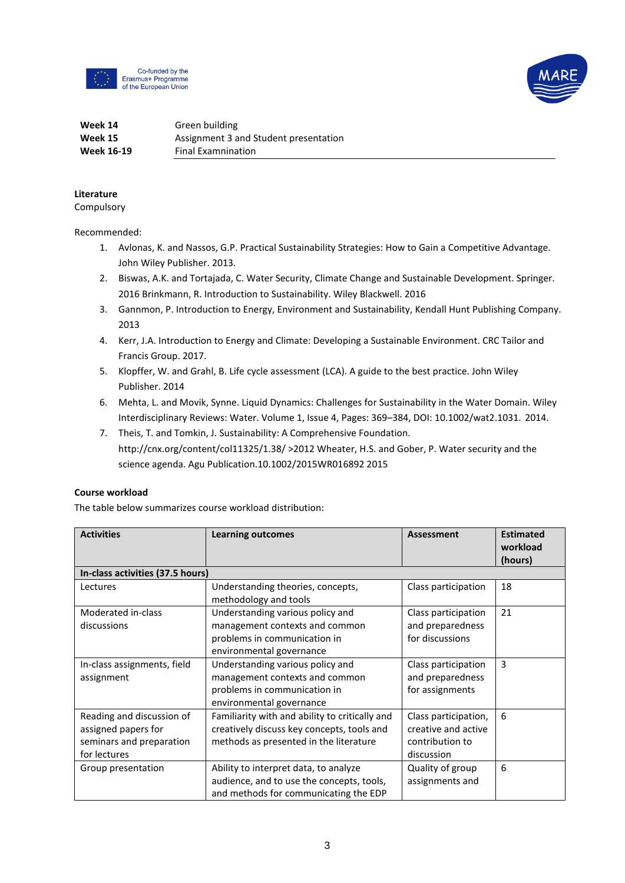

Co-funded by the Erasmus+ Programme of the European Union



#### **Week 14 Week 15 Week 16-19** Green building Assignment 3 and Student presentation Final Examnination

# **Literature**

Compulsory

Recommended:

- 1. Avlonas, K. and Nassos, G.P. Practical Sustainability Strategies: How to Gain a Competitive Advantage. John Wiley Publisher. 2013.
- 2. Biswas, A.K. and Tortajada, C. Water Security, Climate Change and Sustainable Development. Springer. 2016 Brinkmann, R. Introduction to Sustainability. Wiley Blackwell. 2016
- 3. Gannmon, P. Introduction to Energy, Environment and Sustainability, Kendall Hunt Publishing Company. 2013
- 4. Kerr, J.A. Introduction to Energy and Climate: Developing a Sustainable Environment. CRC Tailor and Francis Group. 2017.
- 5. Klopffer, W. and Grahl, B. Life cycle assessment (LCA). A guide to the best practice. John Wiley Publisher. 2014
- 6. Mehta, L. and Movik, Synne. Liquid Dynamics: Challenges for Sustainability in the Water Domain. Wiley Interdisciplinary Reviews: Water. Volume 1, Issue 4, Pages: 369–384, DOI: 10.1002/wat2.1031. 2014.
- 7. Theis, T. and Tomkin, J. Sustainability: A Comprehensive Foundation. [http://cnx.org/content/col11325/1.38/ >](http://cnx.org/content/col11325/1.38/)2012 Wheater, H.S. and Gober, P. Water security and the science agenda. Agu Publication.10.1002/2015WR016892 2015

# **Course workload**

The table below summarizes course workload distribution:

| <b>Activities</b>                | <b>Learning outcomes</b>                                   | Assessment           | <b>Estimated</b><br>workload<br>(hours) |
|----------------------------------|------------------------------------------------------------|----------------------|-----------------------------------------|
| In-class activities (37.5 hours) |                                                            |                      |                                         |
| Lectures                         | Understanding theories, concepts,<br>methodology and tools | Class participation  | 18                                      |
| Moderated in-class               | Understanding various policy and                           | Class participation  | 21                                      |
| discussions                      | management contexts and common                             | and preparedness     |                                         |
|                                  | problems in communication in                               | for discussions      |                                         |
|                                  | environmental governance                                   |                      |                                         |
| In-class assignments, field      | Understanding various policy and                           | Class participation  | 3                                       |
| assignment                       | management contexts and common                             | and preparedness     |                                         |
|                                  | problems in communication in<br>environmental governance   | for assignments      |                                         |
| Reading and discussion of        | Familiarity with and ability to critically and             | Class participation, | 6                                       |
| assigned papers for              | creatively discuss key concepts, tools and                 | creative and active  |                                         |
| seminars and preparation         | methods as presented in the literature                     | contribution to      |                                         |
| for lectures                     |                                                            | discussion           |                                         |
| Group presentation               | Ability to interpret data, to analyze                      | Quality of group     | 6                                       |
|                                  | audience, and to use the concepts, tools,                  | assignments and      |                                         |
|                                  | and methods for communicating the EDP                      |                      |                                         |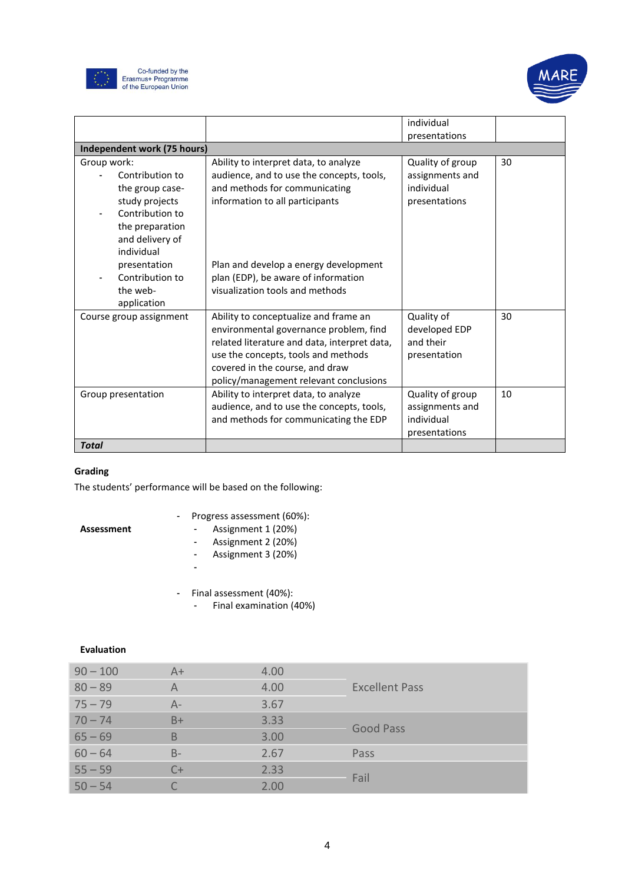



|                                                                                                                                                                                                          |                                                                                                                                                                                                                                                                           | individual                                                         |    |
|----------------------------------------------------------------------------------------------------------------------------------------------------------------------------------------------------------|---------------------------------------------------------------------------------------------------------------------------------------------------------------------------------------------------------------------------------------------------------------------------|--------------------------------------------------------------------|----|
|                                                                                                                                                                                                          |                                                                                                                                                                                                                                                                           | presentations                                                      |    |
| Independent work (75 hours)                                                                                                                                                                              |                                                                                                                                                                                                                                                                           |                                                                    |    |
| Group work:<br>Contribution to<br>the group case-<br>study projects<br>Contribution to<br>the preparation<br>and delivery of<br>individual<br>presentation<br>Contribution to<br>the web-<br>application | Ability to interpret data, to analyze<br>audience, and to use the concepts, tools,<br>and methods for communicating<br>information to all participants<br>Plan and develop a energy development<br>plan (EDP), be aware of information<br>visualization tools and methods | Quality of group<br>assignments and<br>individual<br>presentations | 30 |
| Course group assignment                                                                                                                                                                                  | Ability to conceptualize and frame an<br>environmental governance problem, find<br>related literature and data, interpret data,<br>use the concepts, tools and methods<br>covered in the course, and draw<br>policy/management relevant conclusions                       | Quality of<br>developed EDP<br>and their<br>presentation           | 30 |
| Group presentation                                                                                                                                                                                       | Ability to interpret data, to analyze<br>audience, and to use the concepts, tools,<br>and methods for communicating the EDP                                                                                                                                               | Quality of group<br>assignments and<br>individual<br>presentations | 10 |
| <b>Total</b>                                                                                                                                                                                             |                                                                                                                                                                                                                                                                           |                                                                    |    |

# **Grading**

The students' performance will be based on the following:

**Assessment**

# - Progress assessment (60%):

- Assignment 1 (20%) - Assignment 2 (20%)
- - Assignment 3 (20%)
	- -
	- Final assessment (40%):
		- Final examination (40%)

# **Evaluation**

| $90 - 100$ | $A+$  | 4.00 |                       |
|------------|-------|------|-----------------------|
| $80 - 89$  | A     | 4.00 | <b>Excellent Pass</b> |
| $75 - 79$  | $A -$ | 3.67 |                       |
| $70 - 74$  | $B+$  | 3.33 | <b>Good Pass</b>      |
| $65 - 69$  | B     | 3.00 |                       |
| $60 - 64$  | $B -$ | 2.67 | Pass                  |
| $55 - 59$  | $C+$  | 2.33 | Fail                  |
| $50 - 54$  |       | 2.00 |                       |